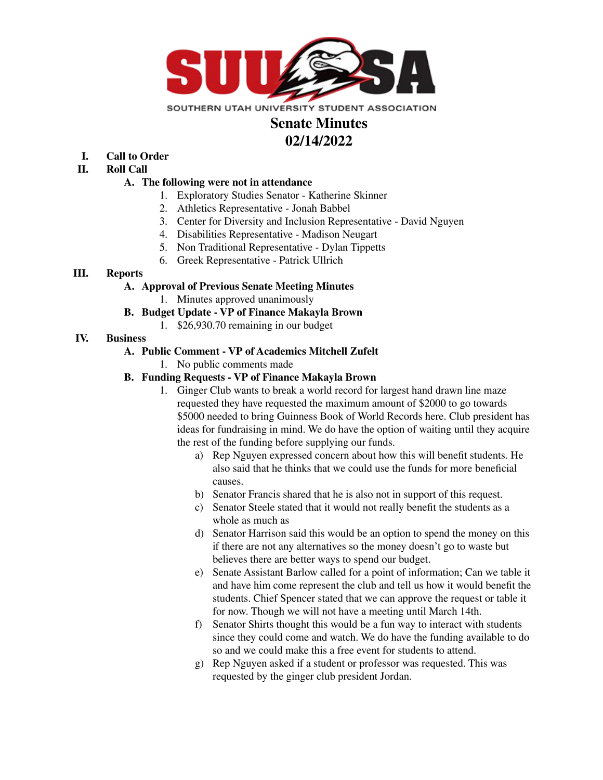

# **Senate Minutes 02/14/2022**

- **I. Call to Order**
- **II. Roll Call**

#### **A. The following were not in attendance**

- 1. Exploratory Studies Senator Katherine Skinner
- 2. Athletics Representative Jonah Babbel
- 3. Center for Diversity and Inclusion Representative David Nguyen
- 4. Disabilities Representative Madison Neugart
- 5. Non Traditional Representative Dylan Tippetts
- 6. Greek Representative Patrick Ullrich

# **III. Reports**

## **A. Approval of Previous Senate Meeting Minutes**

1. Minutes approved unanimously

# **B. Budget Update - VP of Finance Makayla Brown**

1. \$26,930.70 remaining in our budget

## **IV. Business**

## **A. Public Comment - VP of Academics Mitchell Zufelt**

1. No public comments made

## **B. Funding Requests - VP of Finance Makayla Brown**

- 1. Ginger Club wants to break a world record for largest hand drawn line maze requested they have requested the maximum amount of \$2000 to go towards \$5000 needed to bring Guinness Book of World Records here. Club president has ideas for fundraising in mind. We do have the option of waiting until they acquire the rest of the funding before supplying our funds.
	- a) Rep Nguyen expressed concern about how this will benefit students. He also said that he thinks that we could use the funds for more beneficial causes.
	- b) Senator Francis shared that he is also not in support of this request.
	- c) Senator Steele stated that it would not really benefit the students as a whole as much as
	- d) Senator Harrison said this would be an option to spend the money on this if there are not any alternatives so the money doesn't go to waste but believes there are better ways to spend our budget.
	- e) Senate Assistant Barlow called for a point of information; Can we table it and have him come represent the club and tell us how it would benefit the students. Chief Spencer stated that we can approve the request or table it for now. Though we will not have a meeting until March 14th.
	- f) Senator Shirts thought this would be a fun way to interact with students since they could come and watch. We do have the funding available to do so and we could make this a free event for students to attend.
	- g) Rep Nguyen asked if a student or professor was requested. This was requested by the ginger club president Jordan.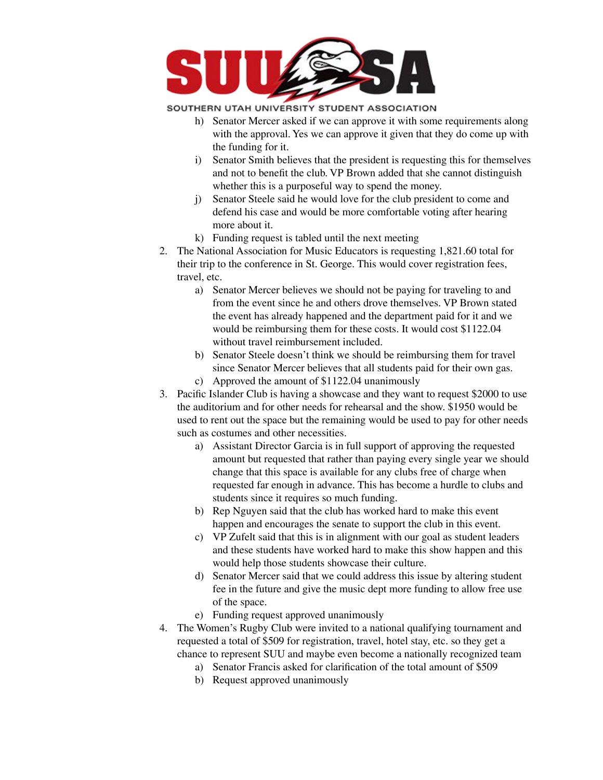

#### SOUTHERN UTAH UNIVERSITY STUDENT ASSOCIATION

- h) Senator Mercer asked if we can approve it with some requirements along with the approval. Yes we can approve it given that they do come up with the funding for it.
- i) Senator Smith believes that the president is requesting this for themselves and not to benefit the club. VP Brown added that she cannot distinguish whether this is a purposeful way to spend the money.
- j) Senator Steele said he would love for the club president to come and defend his case and would be more comfortable voting after hearing more about it.
- k) Funding request is tabled until the next meeting
- 2. The National Association for Music Educators is requesting 1,821.60 total for their trip to the conference in St. George. This would cover registration fees, travel, etc.
	- a) Senator Mercer believes we should not be paying for traveling to and from the event since he and others drove themselves. VP Brown stated the event has already happened and the department paid for it and we would be reimbursing them for these costs. It would cost \$1122.04 without travel reimbursement included.
	- b) Senator Steele doesn't think we should be reimbursing them for travel since Senator Mercer believes that all students paid for their own gas.
	- c) Approved the amount of \$1122.04 unanimously
- 3. Pacific Islander Club is having a showcase and they want to request \$2000 to use the auditorium and for other needs for rehearsal and the show. \$1950 would be used to rent out the space but the remaining would be used to pay for other needs such as costumes and other necessities.
	- a) Assistant Director Garcia is in full support of approving the requested amount but requested that rather than paying every single year we should change that this space is available for any clubs free of charge when requested far enough in advance. This has become a hurdle to clubs and students since it requires so much funding.
	- b) Rep Nguyen said that the club has worked hard to make this event happen and encourages the senate to support the club in this event.
	- c) VP Zufelt said that this is in alignment with our goal as student leaders and these students have worked hard to make this show happen and this would help those students showcase their culture.
	- d) Senator Mercer said that we could address this issue by altering student fee in the future and give the music dept more funding to allow free use of the space.
	- e) Funding request approved unanimously
- 4. The Women's Rugby Club were invited to a national qualifying tournament and requested a total of \$509 for registration, travel, hotel stay, etc. so they get a chance to represent SUU and maybe even become a nationally recognized team
	- a) Senator Francis asked for clarification of the total amount of \$509
	- b) Request approved unanimously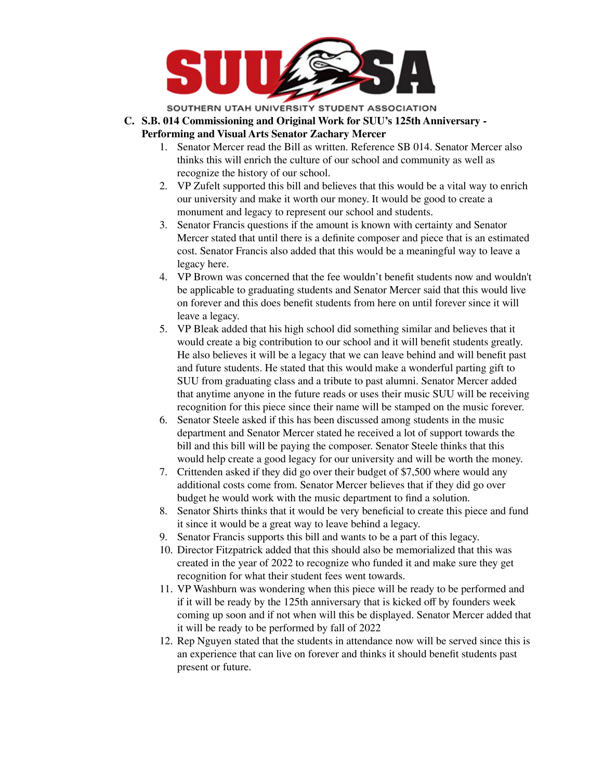

SOUTHERN UTAH UNIVERSITY STUDENT ASSOCIATION

- **C. S.B. 014 Commissioning and Original Work for SUU's 125th Anniversary - Performing and Visual Arts Senator Zachary Mercer**
	- 1. Senator Mercer read the Bill as written. Reference SB 014. Senator Mercer also thinks this will enrich the culture of our school and community as well as recognize the history of our school.
	- 2. VP Zufelt supported this bill and believes that this would be a vital way to enrich our university and make it worth our money. It would be good to create a monument and legacy to represent our school and students.
	- 3. Senator Francis questions if the amount is known with certainty and Senator Mercer stated that until there is a definite composer and piece that is an estimated cost. Senator Francis also added that this would be a meaningful way to leave a legacy here.
	- 4. VP Brown was concerned that the fee wouldn't benefit students now and wouldn't be applicable to graduating students and Senator Mercer said that this would live on forever and this does benefit students from here on until forever since it will leave a legacy.
	- 5. VP Bleak added that his high school did something similar and believes that it would create a big contribution to our school and it will benefit students greatly. He also believes it will be a legacy that we can leave behind and will benefit past and future students. He stated that this would make a wonderful parting gift to SUU from graduating class and a tribute to past alumni. Senator Mercer added that anytime anyone in the future reads or uses their music SUU will be receiving recognition for this piece since their name will be stamped on the music forever.
	- 6. Senator Steele asked if this has been discussed among students in the music department and Senator Mercer stated he received a lot of support towards the bill and this bill will be paying the composer. Senator Steele thinks that this would help create a good legacy for our university and will be worth the money.
	- 7. Crittenden asked if they did go over their budget of \$7,500 where would any additional costs come from. Senator Mercer believes that if they did go over budget he would work with the music department to find a solution.
	- 8. Senator Shirts thinks that it would be very beneficial to create this piece and fund it since it would be a great way to leave behind a legacy.
	- 9. Senator Francis supports this bill and wants to be a part of this legacy.
	- 10. Director Fitzpatrick added that this should also be memorialized that this was created in the year of 2022 to recognize who funded it and make sure they get recognition for what their student fees went towards.
	- 11. VP Washburn was wondering when this piece will be ready to be performed and if it will be ready by the 125th anniversary that is kicked off by founders week coming up soon and if not when will this be displayed. Senator Mercer added that it will be ready to be performed by fall of 2022
	- 12. Rep Nguyen stated that the students in attendance now will be served since this is an experience that can live on forever and thinks it should benefit students past present or future.